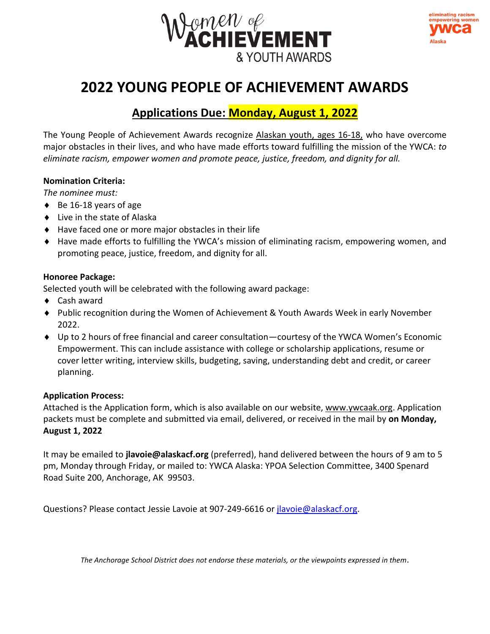



# **2022 YOUNG PEOPLE OF ACHIEVEMENT AWARDS**

## **Applications Due: Monday, August 1, 2022**

The Young People of Achievement Awards recognize Alaskan youth, ages 16-18, who have overcome major obstacles in their lives, and who have made efforts toward fulfilling the mission of the YWCA: *to eliminate racism, empower women and promote peace, justice, freedom, and dignity for all.* 

### **Nomination Criteria:**

*The nominee must:*

- $\triangleleft$  Be 16-18 years of age
- ◆ Live in the state of Alaska
- Have faced one or more major obstacles in their life
- Have made efforts to fulfilling the YWCA's mission of eliminating racism, empowering women, and promoting peace, justice, freedom, and dignity for all.

### **Honoree Package:**

Selected youth will be celebrated with the following award package:

- ◆ Cash award
- Public recognition during the Women of Achievement & Youth Awards Week in early November 2022.
- Up to 2 hours of free financial and career consultation—courtesy of the YWCA Women's Economic Empowerment. This can include assistance with college or scholarship applications, resume or cover letter writing, interview skills, budgeting, saving, understanding debt and credit, or career planning.

### **Application Process:**

Attached is the Application form, which is also available on our website[, www.ywcaak.org.](http://www.ywcaak.org/) Application packets must be complete and submitted via email, delivered, or received in the mail by **on Monday, August 1, 2022**

It may be emailed to **jlavoie@alaskacf.org** (preferred), hand delivered between the hours of 9 am to 5 pm, Monday through Friday, or mailed to: YWCA Alaska: YPOA Selection Committee, 3400 Spenard Road Suite 200, Anchorage, AK 99503.

Questions? Please contact Jessie Lavoie at 907-249-6616 or [jlavoie@alaskacf.org.](mailto:jlavoie@alaskacf.org)

*The Anchorage School District does not endorse these materials, or the viewpoints expressed in them*.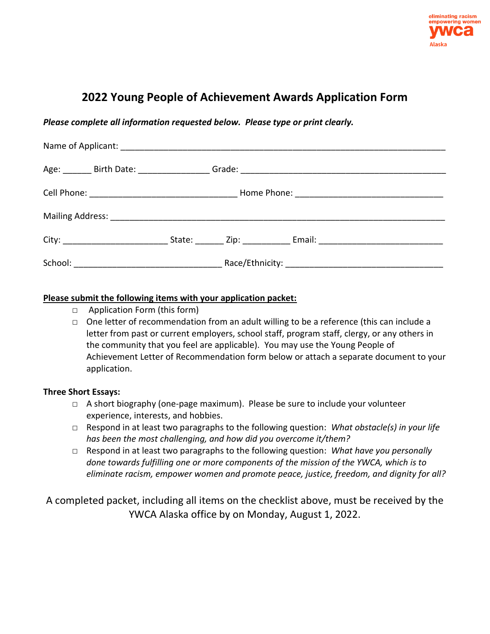

## **2022 Young People of Achievement Awards Application Form**

### *Please complete all information requested below. Please type or print clearly.*

| Age: ________ Birth Date: __________________ |  |  |                                                                                  |  |
|----------------------------------------------|--|--|----------------------------------------------------------------------------------|--|
|                                              |  |  |                                                                                  |  |
|                                              |  |  |                                                                                  |  |
|                                              |  |  | State: _________ Zip: ________________ Email: __________________________________ |  |
|                                              |  |  |                                                                                  |  |

#### **Please submit the following items with your application packet:**

- □ Application Form (this form)
- □ One letter of recommendation from an adult willing to be a reference (this can include a letter from past or current employers, school staff, program staff, clergy, or any others in the community that you feel are applicable). You may use the Young People of Achievement Letter of Recommendation form below or attach a separate document to your application.

### **Three Short Essays:**

- □ A short biography (one-page maximum). Please be sure to include your volunteer experience, interests, and hobbies.
- □ Respond in at least two paragraphs to the following question: *What obstacle(s) in your life has been the most challenging, and how did you overcome it/them?*
- □ Respond in at least two paragraphs to the following question: *What have you personally done towards fulfilling one or more components of the mission of the YWCA, which is to eliminate racism, empower women and promote peace, justice, freedom, and dignity for all?*

A completed packet, including all items on the checklist above, must be received by the YWCA Alaska office by on Monday, August 1, 2022.